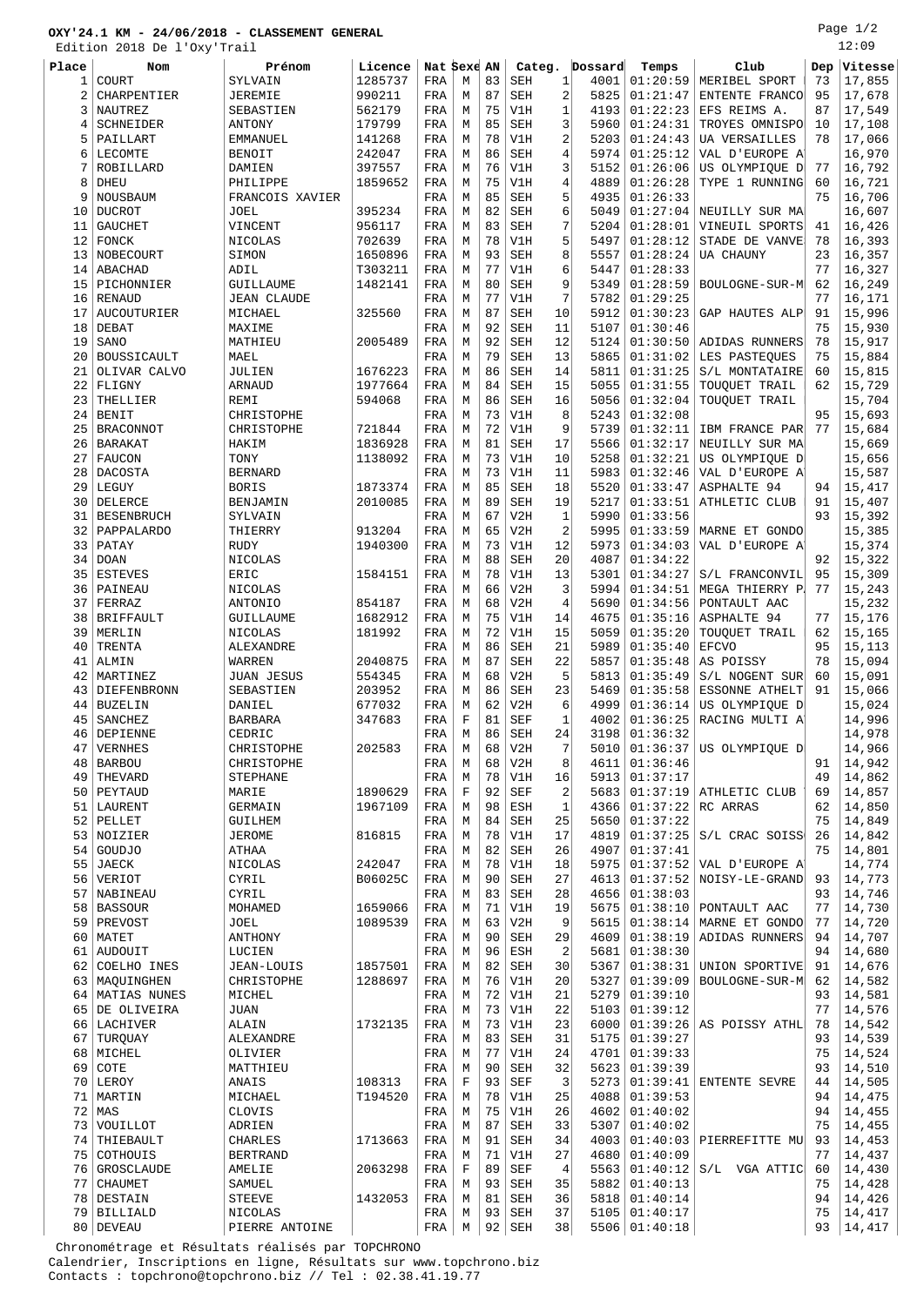## **OXY'24.1 KM - 24/06/2018 - CLASSEMENT GENERAL**

Edition 2018 De l'Oxy'Trail

Page 1/2  $12:09$ 

|                | Edition 2018 De l'Oxy'Trail |                    |         |             |             |    |            |                        |          |                           |     | エム・ロン   |
|----------------|-----------------------------|--------------------|---------|-------------|-------------|----|------------|------------------------|----------|---------------------------|-----|---------|
| Place          | <b>Nom</b>                  | Prénom             | Licence | Nat Sexe AN |             |    | Categ.     | Dossard                | Temps    | Club                      | Dep | Vitesse |
|                | COURT                       | SYLVAIN            | 1285737 | FRA         | М           | 83 | <b>SEH</b> | 1<br>4001              | 01:20:59 | MERIBEL SPORT             | 73  | 17,855  |
| 1              |                             |                    |         |             |             |    |            |                        |          |                           |     |         |
| $\overline{2}$ | <b>CHARPENTIER</b>          | <b>JEREMIE</b>     | 990211  | FRA         | M           | 87 | <b>SEH</b> | 2<br>5825              | 01:21:47 | ENTENTE FRANCO            | 95  | 17,678  |
| 3              | NAUTREZ                     | SEBASTIEN          | 562179  | FRA         | M           | 75 | V1H        | 1<br>4193              | 01:22:23 | EFS REIMS A.              | 87  | 17,549  |
| 4              | SCHNEIDER                   | <b>ANTONY</b>      | 179799  | FRA         | М           | 85 | SEH        | 3<br>5960              | 01:24:31 | TROYES OMNISPO            | 10  | 17,108  |
| 5              | PAILLART                    | <b>EMMANUEL</b>    | 141268  | FRA         | М           | 78 | V1H        | 2<br>5203              | 01:24:43 | <b>UA VERSAILLES</b>      | 78  | 17,066  |
|                |                             |                    |         |             |             |    |            |                        |          |                           |     |         |
| 6              | LECOMTE                     | <b>BENOIT</b>      | 242047  | FRA         | М           | 86 | <b>SEH</b> | 5974<br>4              | 01:25:12 | VAL D'EUROPE A'           |     | 16,970  |
| 7              | ROBILLARD                   | DAMIEN             | 397557  | FRA         | M           | 76 | V1H        | 3<br>5152              | 01:26:06 | US OLYMPIQUE D            | 77  | 16,792  |
| 8              | DHEU                        | PHILIPPE           | 1859652 | FRA         | М           | 75 | V1H        | 4<br>4889              | 01:26:28 | TYPE 1 RUNNING            | 60  | 16,721  |
| 9              | NOUSBAUM                    | FRANCOIS XAVIER    |         | FRA         | М           | 85 | <b>SEH</b> | 5<br>4935              | 01:26:33 |                           | 75  | 16,706  |
|                |                             |                    |         |             |             |    |            |                        |          |                           |     |         |
| 10             | <b>DUCROT</b>               | <b>JOEL</b>        | 395234  | FRA         | М           | 82 | <b>SEH</b> | 6<br>5049              | 01:27:04 | NEUILLY SUR MA            |     | 16,607  |
| 11             | <b>GAUCHET</b>              | VINCENT            | 956117  | FRA         | M           | 83 | <b>SEH</b> | 7<br>5204              | 01:28:01 | VINEUIL SPORTS            | 41  | 16,426  |
| 12             | FONCK                       | NICOLAS            | 702639  | FRA         | M           | 78 | V1H        | 5<br>5497              | 01:28:12 | STADE DE VANVE            | 78  | 16,393  |
| 13             | NOBECOURT                   | SIMON              | 1650896 |             |             | 93 |            | 8<br>5557              | 01:28:24 |                           | 23  | 16,357  |
|                |                             |                    |         | FRA         | М           |    | SEH        |                        |          | UA CHAUNY                 |     |         |
| 14             | ABACHAD                     | ADIL               | T303211 | FRA         | М           | 77 | V1H        | 6<br>5447              | 01:28:33 |                           | 77  | 16,327  |
| 15             | PICHONNIER                  | GUILLAUME          | 1482141 | FRA         | M           | 80 | <b>SEH</b> | 9<br>5349              | 01:28:59 | BOULOGNE-SUR-M            | 62  | 16,249  |
| 16             | RENAUD                      | <b>JEAN CLAUDE</b> |         | FRA         | M           | 77 | V1H        | 7<br>5782              | 01:29:25 |                           | 77  | 16,171  |
| 17             | AUCOUTURIER                 | MICHAEL            | 325560  | FRA         | M           | 87 | <b>SEH</b> | 10<br>5912             | 01:30:23 | GAP HAUTES ALP            | 91  | 15,996  |
|                |                             |                    |         |             |             |    |            |                        |          |                           |     |         |
| 18             | DEBAT                       | MAXIME             |         | FRA         | М           | 92 | <b>SEH</b> | 11<br>5107             | 01:30:46 |                           | 75  | 15,930  |
| 19             | SANO                        | MATHIEU            | 2005489 | FRA         | M           | 92 | <b>SEH</b> | 12<br>5124             | 01:30:50 | ADIDAS RUNNERS            | 78  | 15,917  |
| 20             | BOUSSICAULT                 | MAEL               |         | FRA         | M           | 79 | <b>SEH</b> | 13<br>5865             | 01:31:02 | LES PASTEOUES             | 75  | 15,884  |
|                |                             |                    | 1676223 |             |             | 86 | <b>SEH</b> |                        | 01:31:25 |                           |     |         |
| 21             | OLIVAR CALVO                | JULIEN             |         | FRA         | М           |    |            | 14<br>5811             |          | S/L MONTATAIRE            | 60  | 15,815  |
| 22             | FLIGNY                      | <b>ARNAUD</b>      | 1977664 | FRA         | М           | 84 | <b>SEH</b> | 15<br>5055             | 01:31:55 | TOUQUET TRAIL             | 62  | 15,729  |
| 23             | THELLIER                    | REMI               | 594068  | FRA         | M           | 86 | <b>SEH</b> | 5056<br>16             | 01:32:04 | TOUQUET TRAIL             |     | 15,704  |
| 24             | <b>BENIT</b>                | CHRISTOPHE         |         | FRA         | М           | 73 | V1H        | 8<br>5243              | 01:32:08 |                           | 95  | 15,693  |
| 25             |                             |                    |         |             |             | 72 |            | 9<br>5739              | 01:32:11 |                           | 77  |         |
|                | <b>BRACONNOT</b>            | CHRISTOPHE         | 721844  | FRA         | М           |    | V1H        |                        |          | IBM FRANCE PAR            |     | 15,684  |
| 26             | <b>BARAKAT</b>              | HAKIM              | 1836928 | FRA         | М           | 81 | <b>SEH</b> | 17<br>5566             | 01:32:17 | NEUILLY SUR MAY           |     | 15,669  |
| 27             | <b>FAUCON</b>               | TONY               | 1138092 | FRA         | M           | 73 | V1H        | 10<br>5258             | 01:32:21 | US OLYMPIOUE D            |     | 15,656  |
| 28             | DACOSTA                     | <b>BERNARD</b>     |         | FRA         | M           | 73 | V1H        | 11<br>5983             | 01:32:46 | VAL D'EUROPE A            |     | 15,587  |
| 29             |                             |                    |         |             | M           | 85 |            | 18                     |          |                           |     |         |
|                | LEGUY                       | <b>BORIS</b>       | 1873374 | FRA         |             |    | <b>SEH</b> | 5520                   | 01:33:47 | <b>ASPHALTE 94</b>        | 94  | 15,417  |
| 30             | DELERCE                     | BENJAMIN           | 2010085 | FRA         | М           | 89 | <b>SEH</b> | 5217<br>19             | 01:33:51 | ATHLETIC CLUB             | 91  | 15,407  |
| 31             | <b>BESENBRUCH</b>           | SYLVAIN            |         | FRA         | М           | 67 | V2H        | 5990<br>1              | 01:33:56 |                           | 93  | 15,392  |
| 32             | PAPPALARDO                  | THIERRY            | 913204  | FRA         | M           | 65 | V2H        | $\overline{2}$<br>5995 | 01:33:59 | MARNE ET GONDO            |     | 15,385  |
|                |                             |                    |         |             |             |    |            |                        |          |                           |     |         |
| 33             | PATAY                       | <b>RUDY</b>        | 1940300 | FRA         | М           | 73 | V1H        | 12<br>5973             | 01:34:03 | VAL D'EUROPE A'           |     | 15,374  |
| 34             | <b>DOAN</b>                 | NICOLAS            |         | FRA         | М           | 88 | <b>SEH</b> | 20<br>4087             | 01:34:22 |                           | 92  | 15,322  |
| 35             | <b>ESTEVES</b>              | ERIC               | 1584151 | FRA         | М           | 78 | V1H        | 13<br>5301             | 01:34:27 | S/L FRANCONVIL            | 95  | 15,309  |
| 36             | PAINEAU                     | NICOLAS            |         | FRA         | M           | 66 | V2H        | 3<br>5994              | 01:34:51 | MEGA THIERRY P.           | 77  | 15,243  |
|                |                             |                    |         |             |             |    |            |                        |          |                           |     |         |
| 37             | FERRAZ                      | <b>ANTONIO</b>     | 854187  | FRA         | M           | 68 | V2H        | 4<br>5690              | 01:34:56 | PONTAULT AAC              |     | 15,232  |
| 38             | <b>BRIFFAULT</b>            | GUILLAUME          | 1682912 | FRA         | M           | 75 | V1H        | 4675<br>14             | 01:35:16 | ASPHALTE 94               | 77  | 15,176  |
| 39             | MERLIN                      | NICOLAS            | 181992  | FRA         | М           | 72 | V1H        | 15<br>5059             | 01:35:20 | TOUQUET TRAIL             | 62  | 15,165  |
| 40             | TRENTA                      | ALEXANDRE          |         | FRA         | М           | 86 | <b>SEH</b> | 21<br>5989             | 01:35:40 | <b>EFCVO</b>              | 95  | 15,113  |
|                |                             |                    |         |             |             |    |            |                        |          |                           |     |         |
| 41             | ALMIN                       | WARREN             | 2040875 | FRA         | M           | 87 | <b>SEH</b> | 22<br>5857             | 01:35:48 | AS POISSY                 | 78  | 15,094  |
| 42             | MARTINEZ                    | JUAN JESUS         | 554345  | FRA         | M           | 68 | V2H        | 5<br>5813              | 01:35:49 | S/L NOGENT SUR            | 60  | 15,091  |
| 43             | <b>DIEFENBRONN</b>          | SEBASTIEN          | 203952  | FRA         | М           | 86 | <b>SEH</b> | 23<br>5469             | 01:35:58 | ESSONNE ATHELT            | 91  | 15,066  |
| 44             | <b>BUZELIN</b>              | DANIEL             | 677032  | FRA         | M           | 62 | V2H        | 6<br>4999              | 01:36:14 | US OLYMPIQUE D            |     | 15,024  |
|                |                             |                    |         |             |             |    |            |                        |          |                           |     |         |
| 45             | SANCHEZ                     | <b>BARBARA</b>     | 347683  | FRA         | $\mathbf F$ | 81 | <b>SEF</b> | $\mathbf{1}$<br>4002   | 01:36:25 | RACING MULTI A            |     | 14,996  |
| 46             | DEPIENNE                    | CEDRIC             |         | FRA         | M           | 86 | <b>SEH</b> | 3198<br>24             | 01:36:32 |                           |     | 14,978  |
| 47             | VERNHES                     | CHRISTOPHE         | 202583  | FRA         | М           | 68 | V2H        | 7<br>5010              | 01:36:37 | US OLYMPIQUE D            |     | 14,966  |
| 48             | BARBOU                      | CHRISTOPHE         |         | FRA         | М           | 68 | V2H        | 8<br>4611              | 01:36:46 |                           | 91  | 14,942  |
|                |                             |                    |         |             |             |    |            |                        |          |                           |     |         |
| 49             | THEVARD                     | STEPHANE           |         | FRA         | М           | 78 | V1H        | 5913<br>16             | 01:37:17 |                           | 49  | 14,862  |
|                | 50 PEYTAUD                  | MARIE              | 1890629 | FRA         | $\mathbf F$ | 92 | <b>SEF</b> | 2<br>5683              |          | 01:37:19   ATHLETIC CLUB  | 69  | 14,857  |
|                | 51 LAURENT                  | GERMAIN            | 1967109 | FRA         | М           | 98 | ESH        | 1<br>4366              | 01:37:22 | RC ARRAS                  | 62  | 14,850  |
| 52             | PELLET                      | GUILHEM            |         | FRA         | М           | 84 | <b>SEH</b> | 25<br>5650             | 01:37:22 |                           | 75  | 14,849  |
|                |                             |                    |         |             |             |    |            |                        |          |                           |     |         |
|                | 53 NOIZIER                  | <b>JEROME</b>      | 816815  | FRA         | М           | 78 | V1H        | 17<br>4819             | 01:37:25 | S/L CRAC SOISS            | 26  | 14,842  |
| 54             | GOUDJO                      | ATHAA              |         | FRA         | M           | 82 | SEH        | 26<br>4907             | 01:37:41 |                           | 75  | 14,801  |
| 55             | JAECK                       | NICOLAS            | 242047  | FRA         | М           | 78 | V1H        | 5975<br>18             |          | $01:37:52$ VAL D'EUROPE A |     | 14,774  |
| 56             | VERIOT                      | CYRIL              | B06025C | FRA         | М           | 90 | <b>SEH</b> | 27<br>4613             | 01:37:52 | NOISY-LE-GRAND            | 93  | 14,773  |
| 57             | NABINEAU                    | CYRIL              |         | FRA         | М           | 83 | SEH        | 28<br>4656             | 01:38:03 |                           | 93  | 14,746  |
|                |                             |                    |         |             |             |    |            |                        |          |                           |     |         |
|                | 58   BASSOUR                | MOHAMED            | 1659066 | FRA         | М           | 71 | V1H        | 19<br>5675             | 01:38:10 | PONTAULT AAC              | 77  | 14,730  |
| 59             | PREVOST                     | JOEL               | 1089539 | FRA         | М           | 63 | V2H        | 9<br>5615              | 01:38:14 | MARNE ET GONDO            | 77  | 14,720  |
|                | $60$ MATET                  | ANTHONY            |         | FRA         | М           | 90 | <b>SEH</b> | 29<br>4609             | 01:38:19 | ADIDAS RUNNERS            | 94  | 14,707  |
| 61             | AUDOUIT                     | LUCIEN             |         | FRA         | M           | 96 | <b>ESH</b> | $\overline{2}$<br>5681 | 01:38:30 |                           | 94  | 14,680  |
|                |                             |                    |         |             |             |    |            |                        |          |                           |     |         |
| 62             | COELHO INES                 | JEAN-LOUIS         | 1857501 | FRA         | М           | 82 | SEH        | 30<br>5367             | 01:38:31 | UNION SPORTIVE            | 91  | 14,676  |
| 63             | MAQUINGHEN                  | CHRISTOPHE         | 1288697 | FRA         | М           | 76 | V1H        | 20<br>5327             | 01:39:09 | BOULOGNE-SUR-M            | 62  | 14,582  |
|                | 64   MATIAS NUNES           | MICHEL             |         | FRA         | М           | 72 | V1H        | 5279<br>21             | 01:39:10 |                           | 93  | 14,581  |
|                |                             |                    |         | FRA         | М           | 73 | V1H        | 22<br>5103             | 01:39:12 |                           | 77  | 14,576  |
|                | 65 DE OLIVEIRA              | <b>JUAN</b>        |         |             |             |    |            |                        |          |                           |     |         |
|                | 66 LACHIVER                 | ALAIN              | 1732135 | FRA         | М           | 73 | V1H        | 23<br>6000             | 01:39:26 | AS POISSY ATHL            | 78  | 14,542  |
| 67             | TURQUAY                     | ALEXANDRE          |         | FRA         | М           | 83 | SEH        | 31<br>5175             | 01:39:27 |                           | 93  | 14,539  |
| 68             | MICHEL                      | OLIVIER            |         | FRA         | М           | 77 | V1H        | 24<br>4701             | 01:39:33 |                           | 75  | 14,524  |
| 69             | COTE                        |                    |         |             | М           | 90 | <b>SEH</b> | 32<br>5623             | 01:39:39 |                           | 93  | 14,510  |
|                |                             | MATTHIEU           |         | FRA         |             |    |            |                        |          |                           |     |         |
| 70             | LEROY                       | ANAIS              | 108313  | FRA         | $\mathbf F$ | 93 | <b>SEF</b> | 3<br>5273              | 01:39:41 | ENTENTE SEVRE             | 44  | 14,505  |
| 71             | MARTIN                      | MICHAEL            | T194520 | FRA         | М           | 78 | V1H        | 25<br>4088             | 01:39:53 |                           | 94  | 14,475  |
| 72             | MAS                         | <b>CLOVIS</b>      |         | FRA         | М           | 75 | V1H        | 4602<br>26             | 01:40:02 |                           | 94  | 14,455  |
|                |                             |                    |         |             | М           | 87 | <b>SEH</b> |                        |          |                           | 75  |         |
| 73             | VOUILLOT                    | ADRIEN             |         | FRA         |             |    |            | 33<br>5307             | 01:40:02 |                           |     | 14,455  |
|                | 74 THIEBAULT                | <b>CHARLES</b>     | 1713663 | FRA         | М           | 91 | SEH        | 34<br>4003             | 01:40:03 | PIERREFITTE MU            | 93  | 14,453  |
| 75             | COTHOUIS                    | <b>BERTRAND</b>    |         | FRA         | М           | 71 | V1H        | 27<br>4680             | 01:40:09 |                           | 77  | 14,437  |
|                | 76 GROSCLAUDE               | AMELIE             | 2063298 | FRA         | $\mathbf F$ | 89 | SEF        | 4<br>5563              | 01:40:12 | S/L VGA ATTIC             | 60  | 14,430  |
|                |                             |                    |         |             |             |    |            |                        |          |                           |     |         |
| 77             | <b>CHAUMET</b>              | SAMUEL             |         | FRA         | М           | 93 | <b>SEH</b> | 35<br>5882             | 01:40:13 |                           | 75  | 14,428  |
|                | 78 DESTAIN                  | <b>STEEVE</b>      | 1432053 | FRA         | М           | 81 | SEH        | 5818<br>36             | 01:40:14 |                           | 94  | 14,426  |
|                | 79 BILLIALD                 | NICOLAS            |         | FRA         | М           | 93 | SEH        | 37<br>5105             | 01:40:17 |                           | 75  | 14,417  |

80 DEVEAU PIERRE ANTOINE FRA M 92 SEH 38 5506 01:40:18 93 14,417

 Chronométrage et Résultats réalisés par TOPCHRONO Calendrier, Inscriptions en ligne, Résultats sur www.topchrono.biz Contacts : topchrono@topchrono.biz // Tel : 02.38.41.19.77